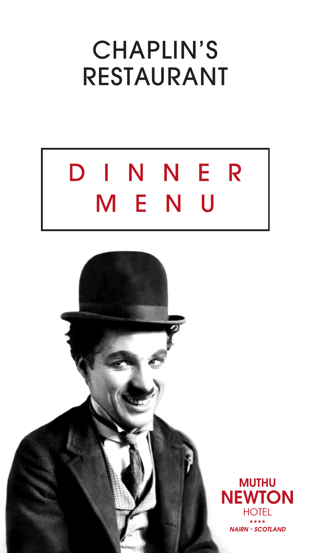## CHAPLIN'S RESTAURANT

# DINNER M E N U

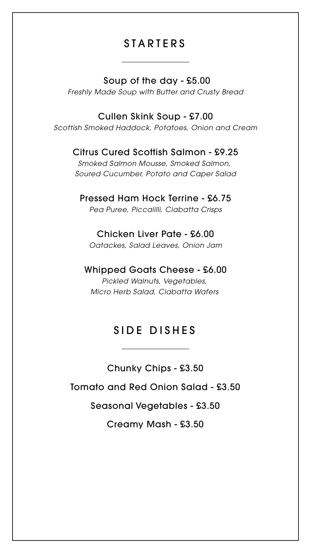## **STARTERS**

#### Soup of the day - £5.00

*Freshly Made Soup with Butter and Crusty Bread*

#### Cullen Skink Soup - £7.00

*Scottish Smoked Haddock, Potatoes, Onion and Cream*

#### Citrus Cured Scottish Salmon - £9.25

*Smoked Salmon Mousse, Smoked Salmon, Soured Cucumber, Potato and Caper Salad*

#### Pressed Ham Hock Terrine - £6.75

*Pea Puree, Piccalilli, Ciabatta Crisps*

#### Chicken Liver Pate - £6.00

*Oatackes, Salad Leaves, Onion Jam*

#### Whipped Goats Cheese - £6.00

*Pickled Walnuts, Vegetables, Micro Herb Salad, Ciabatta Wafers* 

## SIDE DISHES

Chunky Chips - £3.50

Tomato and Red Onion Salad - £3.50

Seasonal Vegetables - £3.50

Creamy Mash - £3.50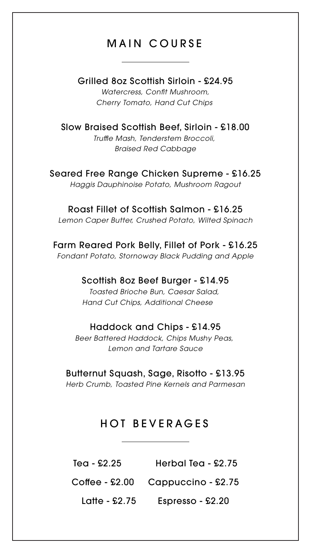## MAIN COURSE

#### Grilled 8oz Scottish Sirloin - £24.95

*Watercress, Confit Mushroom, Cherry Tomato, Hand Cut Chips* 

#### Slow Braised Scottish Beef, Sirloin - £18.00

*Truffle Mash, Tenderstem Broccoli, Braised Red Cabbage*

Seared Free Range Chicken Supreme - £16.25

*Haggis Dauphinoise Potato, Mushroom Ragout*

#### Roast Fillet of Scottish Salmon - £16.25

*Lemon Caper Butter, Crushed Potato, Wilted Spinach*

Farm Reared Pork Belly, Fillet of Pork - £16.25

*Fondant Potato, Stornoway Black Pudding and Apple*

#### Scottish 8oz Beef Burger - £14.95

*Toasted Brioche Bun, Caesar Salad, Hand Cut Chips, Additional Cheese* 

#### Haddock and Chips - £14.95

*Beer Battered Haddock, Chips Mushy Peas, Lemon and Tartare Sauce*

Butternut Squash, Sage, Risotto - £13.95 *Herb Crumb, Toasted Pine Kernels and Parmesan*

## HOT BEVERAGES

Tea - £2.25 Herbal Tea - £2.75 Coffee - £2.00 Cappuccino - £2.75

Latte - £2.75 Espresso - £2.20